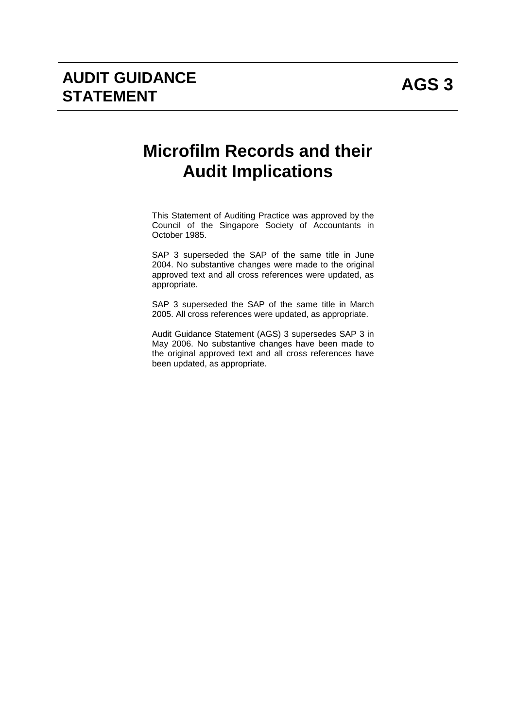# **Microfilm Records and their Audit Implications**

This Statement of Auditing Practice was approved by the Council of the Singapore Society of Accountants in October 1985.

SAP 3 superseded the SAP of the same title in June 2004. No substantive changes were made to the original approved text and all cross references were updated, as appropriate.

SAP 3 superseded the SAP of the same title in March 2005. All cross references were updated, as appropriate.

Audit Guidance Statement (AGS) 3 supersedes SAP 3 in May 2006. No substantive changes have been made to the original approved text and all cross references have been updated, as appropriate.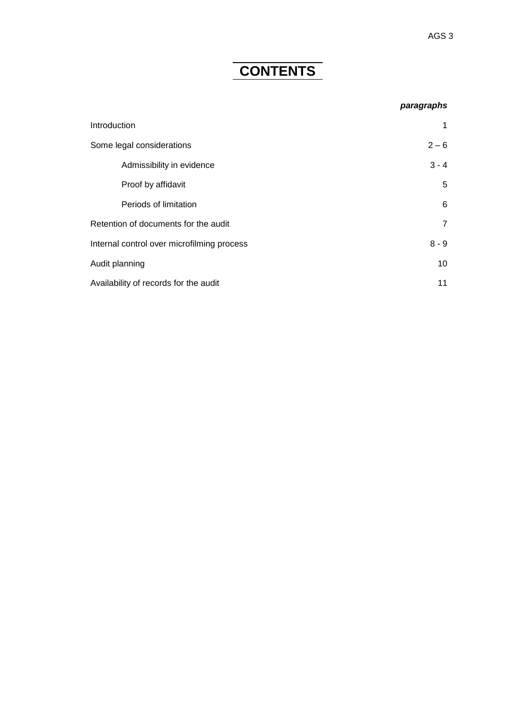## **CONTENTS**

#### *paragraphs*

| Introduction                               | 1              |
|--------------------------------------------|----------------|
| Some legal considerations                  | $2 - 6$        |
| Admissibility in evidence                  | $3 - 4$        |
| Proof by affidavit                         | 5              |
| Periods of limitation                      | 6              |
| Retention of documents for the audit       | $\overline{7}$ |
| Internal control over microfilming process | $8 - 9$        |
| Audit planning                             | 10             |
| Availability of records for the audit      | 11             |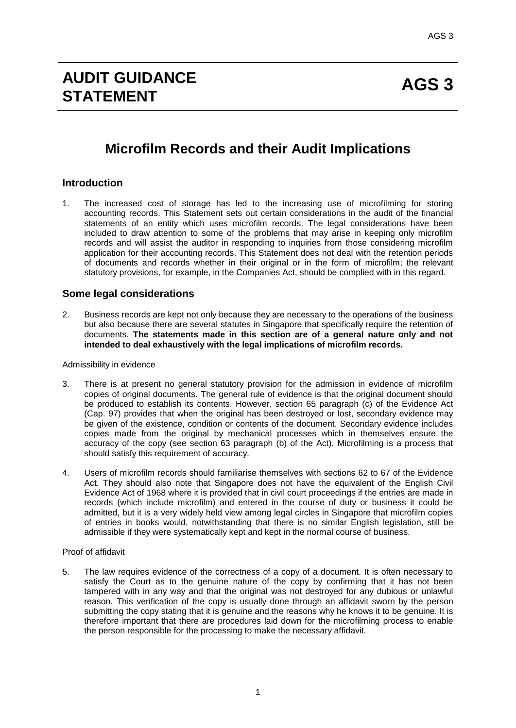## **Microfilm Records and their Audit Implications**

## **Introduction**

1. The increased cost of storage has led to the increasing use of microfilming for storing accounting records. This Statement sets out certain considerations in the audit of the financial statements of an entity which uses microfilm records. The legal considerations have been included to draw attention to some of the problems that may arise in keeping only microfilm records and will assist the auditor in responding to inquiries from those considering microfilm application for their accounting records. This Statement does not deal with the retention periods of documents and records whether in their original or in the form of microfilm; the relevant statutory provisions, for example, in the Companies Act, should be complied with in this regard.

## **Some legal considerations**

2. Business records are kept not only because they are necessary to the operations of the business but also because there are several statutes in Singapore that specifically require the retention of documents. **The statements made in this section are of a general nature only and not intended to deal exhaustively with the legal implications of microfilm records.**

#### Admissibility in evidence

- 3. There is at present no general statutory provision for the admission in evidence of microfilm copies of original documents. The general rule of evidence is that the original document should be produced to establish its contents. However, section 65 paragraph (c) of the Evidence Act (Cap. 97) provides that when the original has been destroyed or lost, secondary evidence may be given of the existence, condition or contents of the document. Secondary evidence includes copies made from the original by mechanical processes which in themselves ensure the accuracy of the copy (see section 63 paragraph (b) of the Act). Microfilming is a process that should satisfy this requirement of accuracy.
- 4. Users of microfilm records should familiarise themselves with sections 62 to 67 of the Evidence Act. They should also note that Singapore does not have the equivalent of the English Civil Evidence Act of 1968 where it is provided that in civil court proceedings if the entries are made in records (which include microfilm) and entered in the course of duty or business it could be admitted, but it is a very widely held view among legal circles in Singapore that microfilm copies of entries in books would, notwithstanding that there is no similar English legislation, still be admissible if they were systematically kept and kept in the normal course of business.

Proof of affidavit

5. The law requires evidence of the correctness of a copy of a document. It is often necessary to satisfy the Court as to the genuine nature of the copy by confirming that it has not been tampered with in any way and that the original was not destroyed for any dubious or unlawful reason. This verification of the copy is usually done through an affidavit sworn by the person submitting the copy stating that it is genuine and the reasons why he knows it to be genuine. It is therefore important that there are procedures laid down for the microfilming process to enable the person responsible for the processing to make the necessary affidavit.